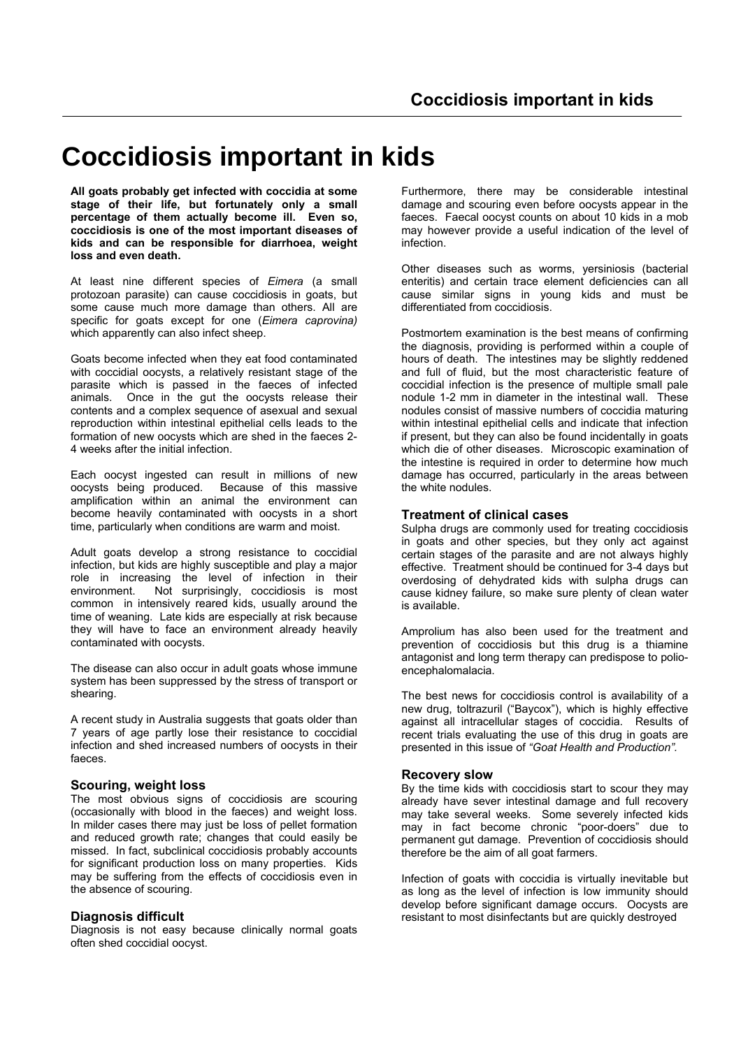# **Coccidiosis important in kids**

**All goats probably get infected with coccidia at some stage of their life, but fortunately only a small percentage of them actually become ill. Even so, coccidiosis is one of the most important diseases of kids and can be responsible for diarrhoea, weight loss and even death.**

At least nine different species of *Eimera* (a small protozoan parasite) can cause coccidiosis in goats, but some cause much more damage than others. All are specific for goats except for one (*Eimera caprovina)* which apparently can also infect sheep.

Goats become infected when they eat food contaminated with coccidial oocysts, a relatively resistant stage of the parasite which is passed in the faeces of infected animals. Once in the gut the oocysts release their contents and a complex sequence of asexual and sexual reproduction within intestinal epithelial cells leads to the formation of new oocysts which are shed in the faeces 2- 4 weeks after the initial infection.

Each oocyst ingested can result in millions of new oocysts being produced. Because of this massive amplification within an animal the environment can become heavily contaminated with oocysts in a short time, particularly when conditions are warm and moist.

Adult goats develop a strong resistance to coccidial infection, but kids are highly susceptible and play a major role in increasing the level of infection in their environment. Not surprisingly, coccidiosis is most common in intensively reared kids, usually around the time of weaning. Late kids are especially at risk because they will have to face an environment already heavily contaminated with oocysts.

The disease can also occur in adult goats whose immune system has been suppressed by the stress of transport or shearing.

A recent study in Australia suggests that goats older than 7 years of age partly lose their resistance to coccidial infection and shed increased numbers of oocysts in their faeces.

## **Scouring, weight loss**

The most obvious signs of coccidiosis are scouring (occasionally with blood in the faeces) and weight loss. In milder cases there may just be loss of pellet formation and reduced growth rate; changes that could easily be missed. In fact, subclinical coccidiosis probably accounts for significant production loss on many properties. Kids may be suffering from the effects of coccidiosis even in the absence of scouring.

# **Diagnosis difficult**

Diagnosis is not easy because clinically normal goats often shed coccidial oocyst.

Furthermore, there may be considerable intestinal damage and scouring even before oocysts appear in the faeces. Faecal oocyst counts on about 10 kids in a mob may however provide a useful indication of the level of infection.

Other diseases such as worms, yersiniosis (bacterial enteritis) and certain trace element deficiencies can all cause similar signs in young kids and must be differentiated from coccidiosis.

Postmortem examination is the best means of confirming the diagnosis, providing is performed within a couple of hours of death. The intestines may be slightly reddened and full of fluid, but the most characteristic feature of coccidial infection is the presence of multiple small pale nodule 1-2 mm in diameter in the intestinal wall. These nodules consist of massive numbers of coccidia maturing within intestinal epithelial cells and indicate that infection if present, but they can also be found incidentally in goats which die of other diseases. Microscopic examination of the intestine is required in order to determine how much damage has occurred, particularly in the areas between the white nodules.

# **Treatment of clinical cases**

Sulpha drugs are commonly used for treating coccidiosis in goats and other species, but they only act against certain stages of the parasite and are not always highly effective. Treatment should be continued for 3-4 days but overdosing of dehydrated kids with sulpha drugs can cause kidney failure, so make sure plenty of clean water is available.

Amprolium has also been used for the treatment and prevention of coccidiosis but this drug is a thiamine antagonist and long term therapy can predispose to polioencephalomalacia.

The best news for coccidiosis control is availability of a new drug, toltrazuril ("Baycox"), which is highly effective against all intracellular stages of coccidia. Results of recent trials evaluating the use of this drug in goats are presented in this issue of *"Goat Health and Production".*

## **Recovery slow**

By the time kids with coccidiosis start to scour they may already have sever intestinal damage and full recovery may take several weeks. Some severely infected kids may in fact become chronic "poor-doers" due to permanent gut damage. Prevention of coccidiosis should therefore be the aim of all goat farmers.

Infection of goats with coccidia is virtually inevitable but as long as the level of infection is low immunity should develop before significant damage occurs. Oocysts are resistant to most disinfectants but are quickly destroyed